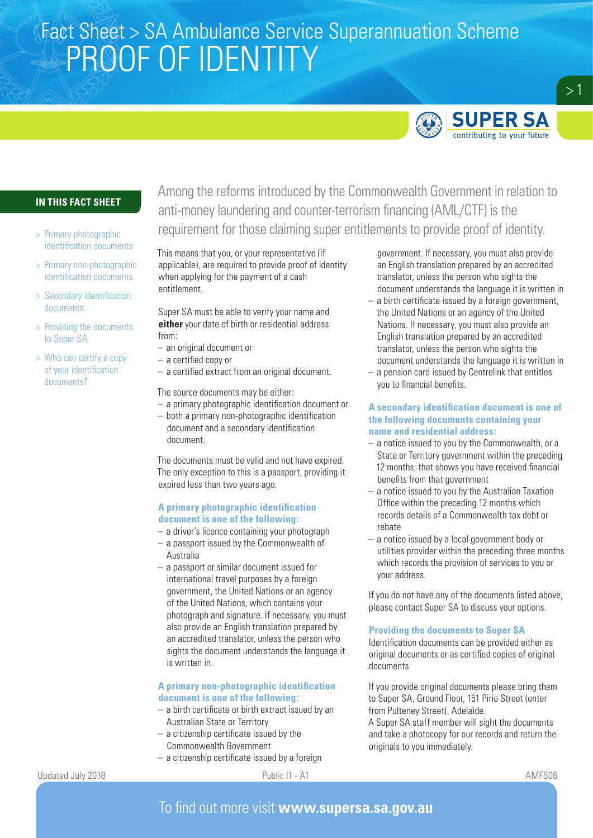# Fact Sheet > SA Ambulance Service Superannuation Scheme PROOF OF IDENTITY



 $>1$ 

## **IN THIS FACT SHEET**

- > Primary photographic identification documents
- > Primary non-photographic identification documents
- > Secondary identification documents
- > Providing the documents to Super SA
- > Who can certify a copy of your identification documents?

Among the reforms introduced by the Commonwealth Government in relation to anti-money laundering and counter-terrorism financing (AML/CTF) is the requirement for those claiming super entitlements to provide proof of identity.

This means that you, or your representative (if applicable), are required to provide proof of identity when applying for the payment of a cash entitlement.

Super SA must be able to verify your name and **either** your date of birth or residential address from:

- an original document or
- a certified copy or
- a certified extract from an original document.

The source documents may be either:

- a primary photographic identification document or
- both a primary non-photographic identification document and a secondary identification document.

The documents must be valid and not have expired. The only exception to this is a passport, providing it expired less than two years ago.

#### **A primary photographic identification document is one of the following:**

- a driver's licence containing your photograph
- a passport issued by the Commonwealth of Australia
- a passport or similar document issued for international travel purposes by a foreign government, the United Nations or an agency of the United Nations, which contains your photograph and signature. If necessary, you must also provide an English translation prepared by an accredited translator, unless the person who sights the document understands the language it is written in.

## **A primary non-photographic identification document is one of the following:**

- a birth certificate or birth extract issued by an Australian State or Territory
- a citizenship certificate issued by the Commonwealth Government
- a citizenship certificate issued by a foreign

government. If necessary, you must also provide an English translation prepared by an accredited translator, unless the person who sights the document understands the language it is written in

- a birth certificate issued by a foreign government, the United Nations or an agency of the United Nations. If necessary, you must also provide an English translation prepared by an accredited translator, unless the person who sights the document understands the language it is written in
- a pension card issued by Centrelink that entitles you to financial benefits.

### **A secondary identification document is one of the following documents containing your name and residential address:**

- a notice issued to you by the Commonwealth, or a State or Territory government within the preceding 12 months, that shows you have received financial benefits from that government
- a notice issued to you by the Australian Taxation Office within the preceding 12 months which records details of a Commonwealth tax debt or rebate
- a notice issued by a local government body or utilities provider within the preceding three months which records the provision of services to you or your address.

If you do not have any of the documents listed above, please contact Super SA to discuss your options.

## **Providing the documents to Super SA**

Identification documents can be provided either as original documents or as certified copies of original documents.

If you provide original documents please bring them to Super SA, Ground Floor, 151 Pirie Street (enter from Pulteney Street), Adelaide.

A Super SA staff member will sight the documents and take a photocopy for our records and return the originals to you immediately.

Updated July 2018 **Public I1 - A1** Public I1 - A1 **AMFS06 AMFS06**